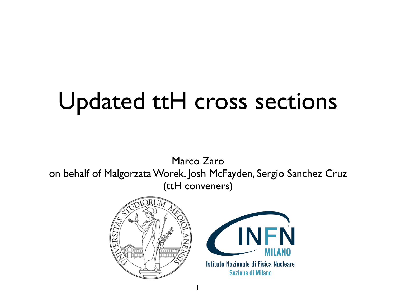# Updated ttH cross sections

Marco Zaro on behalf of Malgorzata Worek, Josh McFayden, Sergio Sanchez Cruz (ttH conveners)

1





**Sezione di Milano**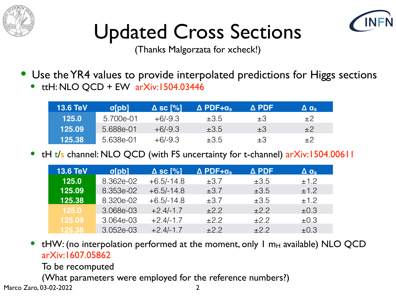



# Updated Cross Sections

(Thanks Malgorzata for xcheck!)

- Use the YR4 values to provide interpolated predictions for Higgs sections
	- ttH: NLO QCD + EW arXiv:1504.03446

| <b>13.6 TeV</b> | $\sigma$ [pb] | $\Delta$ sc [%] | $\Delta$ PDF+a <sub>s</sub> | Δ PDF   | $\Delta$ as |
|-----------------|---------------|-----------------|-----------------------------|---------|-------------|
| 125.0           | 5.700e-01     | $+6/ -9.3$      | $\pm 3.5$                   | $\pm 3$ | $+2$        |
| 125.09          | 5.688e-01     | $+6/ -9.3$      | $\pm 3.5$                   | $\pm 3$ | $+2$        |
| 125.38          | 5.638e-01     | $+6/ -9.3$      | $\pm 3.5$                   | $\pm 3$ | $+2$        |

tH t/s channel: NLO QCD (with FS uncertainty for t-channel) arXiv:1504.00611

| <b>13.6 TeV</b> | $\sigma$ [pb] | $\Delta$ sc [%] | $\Delta$ PDF+ $a_s$ | $\Delta$ PDF | $\Delta$ as |
|-----------------|---------------|-----------------|---------------------|--------------|-------------|
| 125.0           | 8.362e-02     | $+6.5/-14.8$    | $\pm$ 37            | $\pm 3.5$    | ±1.2        |
| 125.09          | 8.353e-02     | $+6.5/-14.8$    | $\pm 3.7$           | $\pm 3.5$    | ±12         |
| 125.38          | 8.320e-02     | $+6.5/-14.8$    | $\pm 3.7$           | $\pm 3.5$    | ±1.2        |
| 125.0           | 3068e-03      | $+2$ 4/-1.7     | $+22$               | $+2.2$       | $\pm 0.3$   |
| 125.09          | 3.064e-03     | $+24/17$        | $\pm$ 22            | $\pm$ 22     | $\pm 0.3$   |
| 125.38          | 3.052e-03     | $+2.4/-1.7$     | $+22$               | $+22$        | $\pm 0.3$   |

tHW: (no interpolation performed at the moment, only  $\sf I$  m<sub>H</sub> available) NLO QCD arXiv:1607.05862

To be recomputed

Marco Zaro, 03-02-2022 (What parameters were employed for the reference numbers?)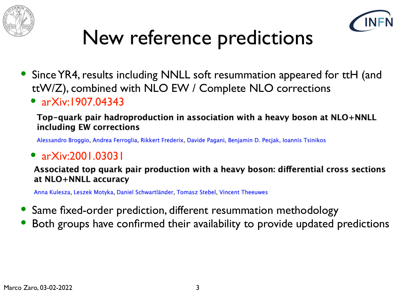



### New reference predictions

- Since YR4, results including NNLL soft resummation appeared for ttH (and ttW/Z), combined with NLO EW / Complete NLO corrections
	- arXiv:1907.04343

Top-quark pair hadroproduction in association with a heavy boson at NLO+NNLL including EW corrections

Alessandro Broggio, Andrea Ferroglia, Rikkert Frederix, Davide Pagani, Benjamin D. Pecjak, Ioannis Tsinikos

#### • arXiv:2001.03031

Associated top quark pair production with a heavy boson: differential cross sections at NLO+NNLL accuracy

Anna Kulesza, Leszek Motyka, Daniel Schwartländer, Tomasz Stebel, Vincent Theeuwes

- Same fixed-order prediction, different resummation methodology
- Both groups have confirmed their availability to provide updated predictions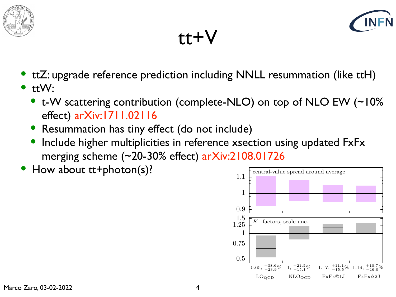



tt+V

- ttZ: upgrade reference prediction including NNLL resummation (like ttH)
- $\bullet$  ttW:
	- t-W scattering contribution (complete-NLO) on top of NLO EW (~10%) effect) arXiv:1711.02116
	- Resummation has tiny effect (do not include)
	- Include higher multiplicities in reference xsection using updated FxFx merging scheme  $(-20-30\%$  effect) arXiv: $2108.01726$
- How about tt+photon(s)?